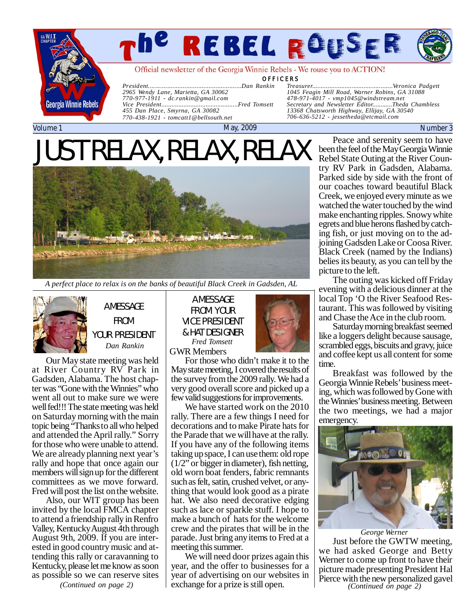

# *The Rebel Rouser Page*

Official newsletter of the Georgia Winnie Rebels - We rouse you to ACTION!

**OFFICERS** 

*President......................................................Dan Rankin 2965 Wendy Lane, Marietta, GA 30062 770-977-1911 - [dc.rankin@gmail.com](mailto:dc.rankin@gmail.com) Vice President.............................................Fred Tomsett*

*Treasurer...............................................Veronica Padgett 1045 Feagin Mill Road, Warner Robins, GA 31088 478-971-4017 - [vmp1045@windstream.net](mailto:vmp1045@windstream.net) Secretary and Newsletter Editor............Theda Chambless 13368 Chatsworth Highway, Ellijay, GA 30540 706-636-5212 - [jessetheda@etcmail.com](mailto:jessetheda@etcmail.com)*

#### Volume 1 May, 2009 Number 3

# JUST RELAX, RELAX, RELAX

*455 Dan Place, Smyrna, GA 30082 770-438-1921 - [tomcatt1@bellsouth.net](mailto:tomcatt1@bellsouth.net)*



*A perfect place to relax is on the banks of beautiful Black Creek in Gadsden, AL*



A MESSAGE FROM YOUR PRESIDENT *Dan Rankin*

Our May state meeting was held at River Country RV Park in Gadsden, Alabama. The host chapter was "Gone with the Winnies" who went all out to make sure we were well fed!!! The state meeting was held on Saturday morning with the main topic being "Thanks to all who helped and attended the April rally." Sorry for those who were unable to attend. We are already planning next year's rally and hope that once again our members will sign up for the different committees as we move forward. Fred will post the list on the website.

Also, our WIT group has been invited by the local FMCA chapter to attend a friendship rally in Renfro Valley, Kentucky August 4th through August 9th, 2009. If you are interested in good country music and attending this rally or caravanning to Kentucky, please let me know as soon as possible so we can reserve sites

*(Continued on page 2)*

A MESSAGE FROM YOUR VICE PRESIDENT & HAT DESIGNER GWR Members *Fred Tomsett*



For those who didn't make it to the May state meeting, I covered the results of the survey from the 2009 rally. We had a very good overall score and picked up a few valid suggestions for improvements.

We have started work on the 2010 rally. There are a few things I need for decorations and to make Pirate hats for the Parade that we will have at the rally. If you have any of the following items taking up space, I can use them: old rope (1/2" or bigger in diameter), fish netting, old worn boat fenders, fabric remnants such as felt, satin, crushed velvet, or anything that would look good as a pirate hat. We also need decorative edging such as lace or sparkle stuff. I hope to make a bunch of hats for the welcome crew and the pirates that will be in the parade. Just bring any items to Fred at a meeting this summer.

We will need door prizes again this year, and the offer to businesses for a year of advertising on our websites in exchange for a prize is still open.

Peace and serenity seem to have been the feel of the May Georgia Winnie Rebel State Outing at the River Country RV Park in Gadsden, Alabama. Parked side by side with the front of our coaches toward beautiful Black Creek, we enjoyed every minute as we watched the water touched by the wind make enchanting ripples. Snowy white egrets and blue herons flashed by catching fish, or just moving on to the adjoining Gadsden Lake or Coosa River. Black Creek (named by the Indians) belies its beauty, as you can tell by the picture to the left.

The outing was kicked off Friday evening with a delicious dinner at the local Top 'O the River Seafood Restaurant. This was followed by visiting and Chase the Ace in the club room.

Saturday morning breakfast seemed like a loggers delight because sausage, scrambled eggs, biscuits and gravy, juice and coffee kept us all content for some time.

Breakfast was followed by the Georgia Winnie Rebels' business meeting, which was followed by Gone with the Winnies' business meeting. Between the two meetings, we had a major emergency.



Just before the GWTW meeting, we had asked George and Betty Werner to come up front to have their picture made presenting President Hal Pierce with the new personalized gavel *George Werner (Continued on page 2)*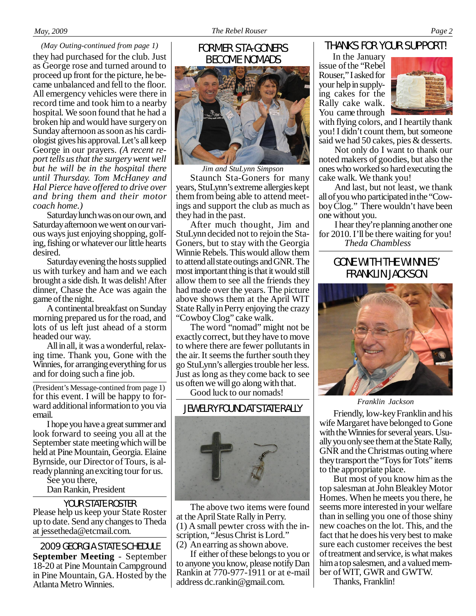# THANKS FOR YOUR SUPPORT!

they had purchased for the club. Just as George rose and turned around to proceed up front for the picture, he became unbalanced and fell to the floor. All emergency vehicles were there in record time and took him to a nearby hospital. We soon found that he had a broken hip and would have surgery on Sunday afternoon as soon as his cardiologist gives his approval. Let's all keep George in our prayers. *(A recent report tells us that the surgery went well but he will be in the hospital there until Thursday. Tom McHaney and Hal Pierce have offered to drive over and bring them and their motor coach home.) (May Outing-continued from page 1)* FORMER STA-GONERS

Saturday lunch was on our own, and Saturday afternoon we went on our various ways just enjoying shopping, golfing, fishing or whatever our little hearts desired.

Saturday evening the hosts supplied us with turkey and ham and we each brought a side dish. It was delish! After dinner, Chase the Ace was again the game of the night.

A continental breakfast on Sunday morning prepared us for the road, and lots of us left just ahead of a storm headed our way.

All in all, it was a wonderful, relaxing time. Thank you, Gone with the Winnies, for arranging everything for us and for doing such a fine job.

for this event. I will be happy to forward additional information to you via email. (President's Message-contined from page 1)

I hope you have a great summer and look forward to seeing you all at the September state meeting which will be held at Pine Mountain, Georgia. Elaine Byrnside, our Director of Tours, is already planning an exciting tour for us.

See you there,

Dan Rankin, President

Please help us keep your State Roster up to date. Send any changes to Theda at [jessetheda@etcmail.com.](mailto:jessetheda@etcmail.com) YOUR STATE ROSTER

2009 GEORGIA STATE SCHEDULE **September Meeting** - September 18-20 at Pine Mountain Campground in Pine Mountain, GA. Hosted by the Atlanta Metro Winnies.

# BECOME NOMADS



*Jim and StuLynn Simpson* Staunch Sta-Goners for many years, StuLynn's extreme allergies kept them from being able to attend meetings and support the club as much as they had in the past.

After much thought, Jim and StuLynn decided not to rejoin the Sta-Goners, but to stay with the Georgia Winnie Rebels. This would allow them to attend all state outings and GNR. The most important thing is that it would still allow them to see all the friends they had made over the years. The picture above shows them at the April WIT State Rally in Perry enjoying the crazy "Cowboy Clog" cake walk.

The word "nomad" might not be exactly correct, but they have to move to where there are fewer pollutants in the air. It seems the further south they go StuLynn's allergies trouble her less. Just as long as they come back to see us often we will go along with that.

Good luck to our nomads!

### JEWELRY FOUND AT STATE RALLY



The above two items were found at the April State Rally in Perry. (1) A small pewter cross with the inscription, "Jesus Christ is Lord." (2) An earring as shown above.

If either of these belongs to you or to anyone you know, please notify Dan Rankin at 770-977-1911 or at e-mail address [dc.rankin@gmail.com.](mailto:dc.rankin@gmail.com)

# In the January

issue of the "Rebel Rouser," I asked for your help in supplying cakes for the Rally cake walk. You came through



with flying colors, and I heartily thank you! I didn't count them, but someone said we had 50 cakes, pies & desserts.

Not only do I want to thank our noted makers of goodies, but also the ones who worked so hard executing the cake walk. We thank you!

And last, but not least, we thank all of you who participated in the "Cowboy Clog." There wouldn't have been one without you.

I hear they're planning another one for 2010. I'll be there waiting for you!  *Theda Chambless*

# GONE WITH THE WINNIES' FRANKLIN JACKSON



*Franklin Jackson*

Friendly, low-key Franklin and his wife Margaret have belonged to Gone with the Winnies for several years. Usually you only see them at the State Rally, GNR and the Christmas outing where they transport the "Toys for Tots" items to the appropriate place.

But most of you know him as the top salesman at John Bleakley Motor Homes. When he meets you there, he seems more interested in your welfare than in selling you one of those shiny new coaches on the lot. This, and the fact that he does his very best to make sure each customer receives the best of treatment and service, is what makes him a top salesmen, and a valued member of WIT, GWR and GWTW.

Thanks, Franklin!